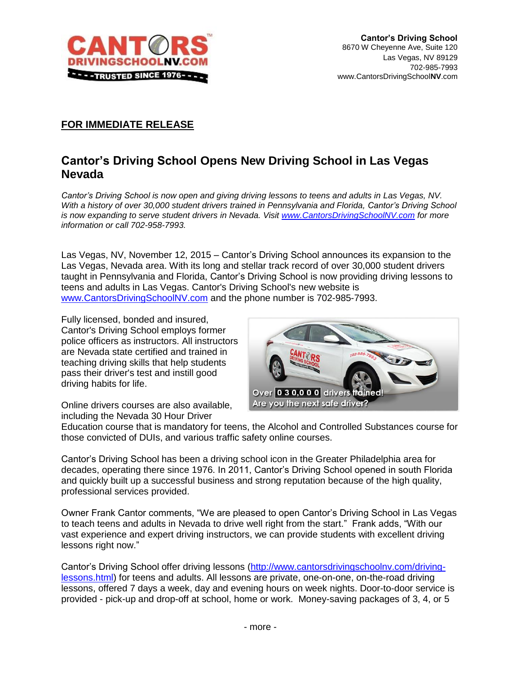

## **FOR IMMEDIATE RELEASE**

## **Cantor's Driving School Opens New Driving School in Las Vegas Nevada**

*Cantor's Driving School is now open and giving driving lessons to teens and adults in Las Vegas, NV. With a history of over 30,000 student drivers trained in Pennsylvania and Florida, Cantor's Driving School is now expanding to serve student drivers in Nevada. Visit [www.CantorsDrivingSchoolNV.com](http://www.cantorsdrivingschoolnv.com/) for more information or call 702-958-7993.*

Las Vegas, NV, November 12, 2015 – Cantor's Driving School announces its expansion to the Las Vegas, Nevada area. With its long and stellar track record of over 30,000 student drivers taught in Pennsylvania and Florida, Cantor's Driving School is now providing driving lessons to teens and adults in Las Vegas. Cantor's Driving School's new website is [www.CantorsDrivingSchoolNV.com](http://www.cantorsdrivingschoolnv.com/) and the phone number is 702-985-7993.

Fully licensed, bonded and insured, Cantor's Driving School employs former police officers as instructors. All instructors are Nevada state certified and trained in teaching driving skills that help students pass their driver's test and instill good driving habits for life.

Over **0 3 0,0 0 0 drivers trained!** Are you the next safe driver?

Online drivers courses are also available, including the Nevada 30 Hour Driver

Education course that is mandatory for teens, the Alcohol and Controlled Substances course for those convicted of DUIs, and various traffic safety online courses.

Cantor's Driving School has been a driving school icon in the Greater Philadelphia area for decades, operating there since 1976. In 2011, Cantor's Driving School opened in south Florida and quickly built up a successful business and strong reputation because of the high quality, professional services provided.

Owner Frank Cantor comments, "We are pleased to open Cantor's Driving School in Las Vegas to teach teens and adults in Nevada to drive well right from the start." Frank adds, "With our vast experience and expert driving instructors, we can provide students with excellent driving lessons right now."

Cantor's Driving School offer driving lessons [\(http://www.cantorsdrivingschoolnv.com/driving](http://www.cantorsdrivingschoolnv.com/driving-lessons.html)[lessons.html\)](http://www.cantorsdrivingschoolnv.com/driving-lessons.html) for teens and adults. All lessons are private, one-on-one, on-the-road driving lessons, offered 7 days a week, day and evening hours on week nights. Door-to-door service is provided - pick-up and drop-off at school, home or work. Money-saving packages of 3, 4, or 5